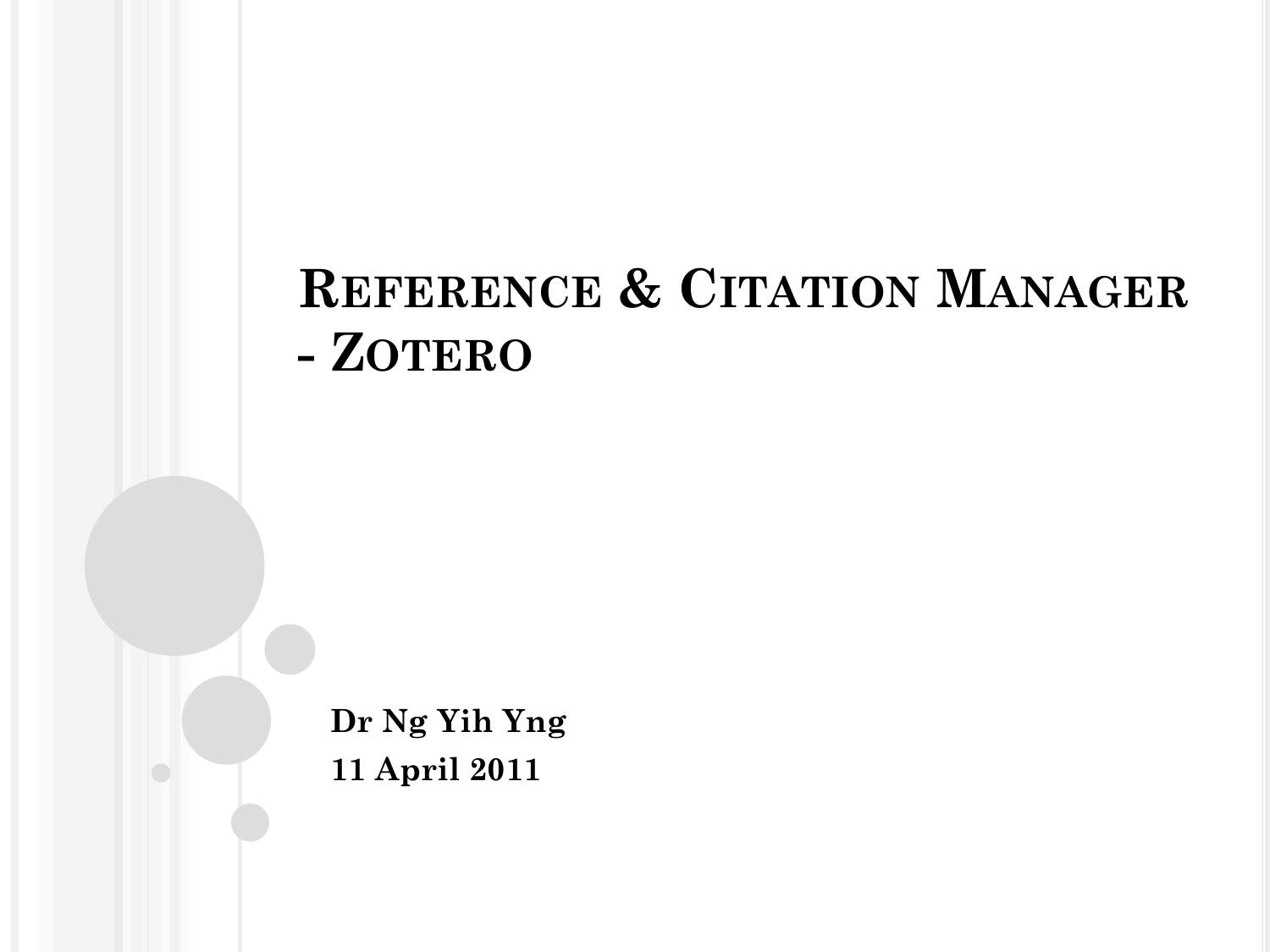# **REFERENCE & CITATION MANAGER - ZOTERO**

**Dr Ng Yih Yng 11 April 2011**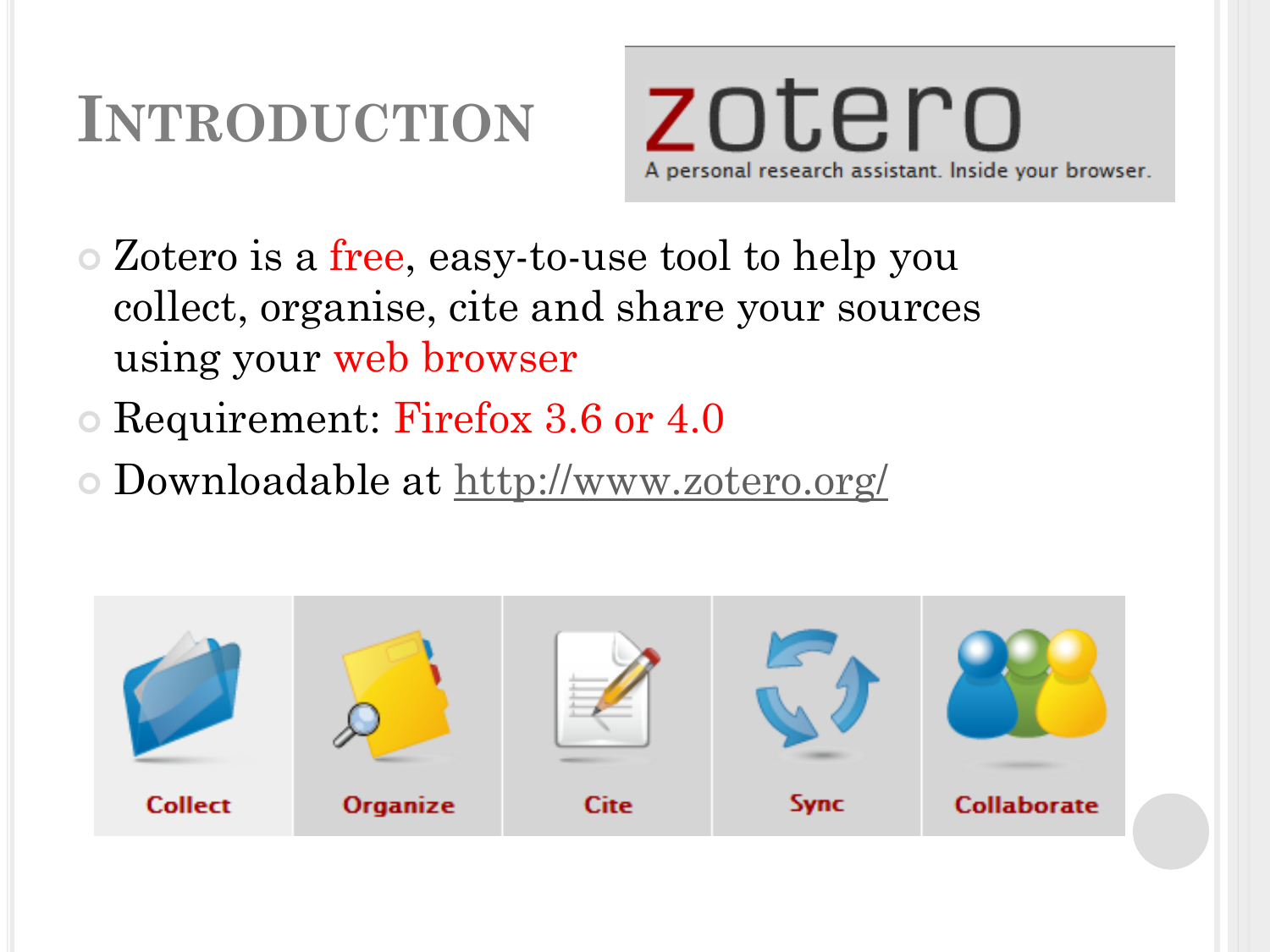# **INTRODUCTION**

zotero A personal research assistant. Inside your browser.

- Zotero is a free, easy-to-use tool to help you collect, organise, cite and share your sources using your web browser
- Requirement: Firefox 3.6 or 4.0
- Downloadable at<http://www.zotero.org/>

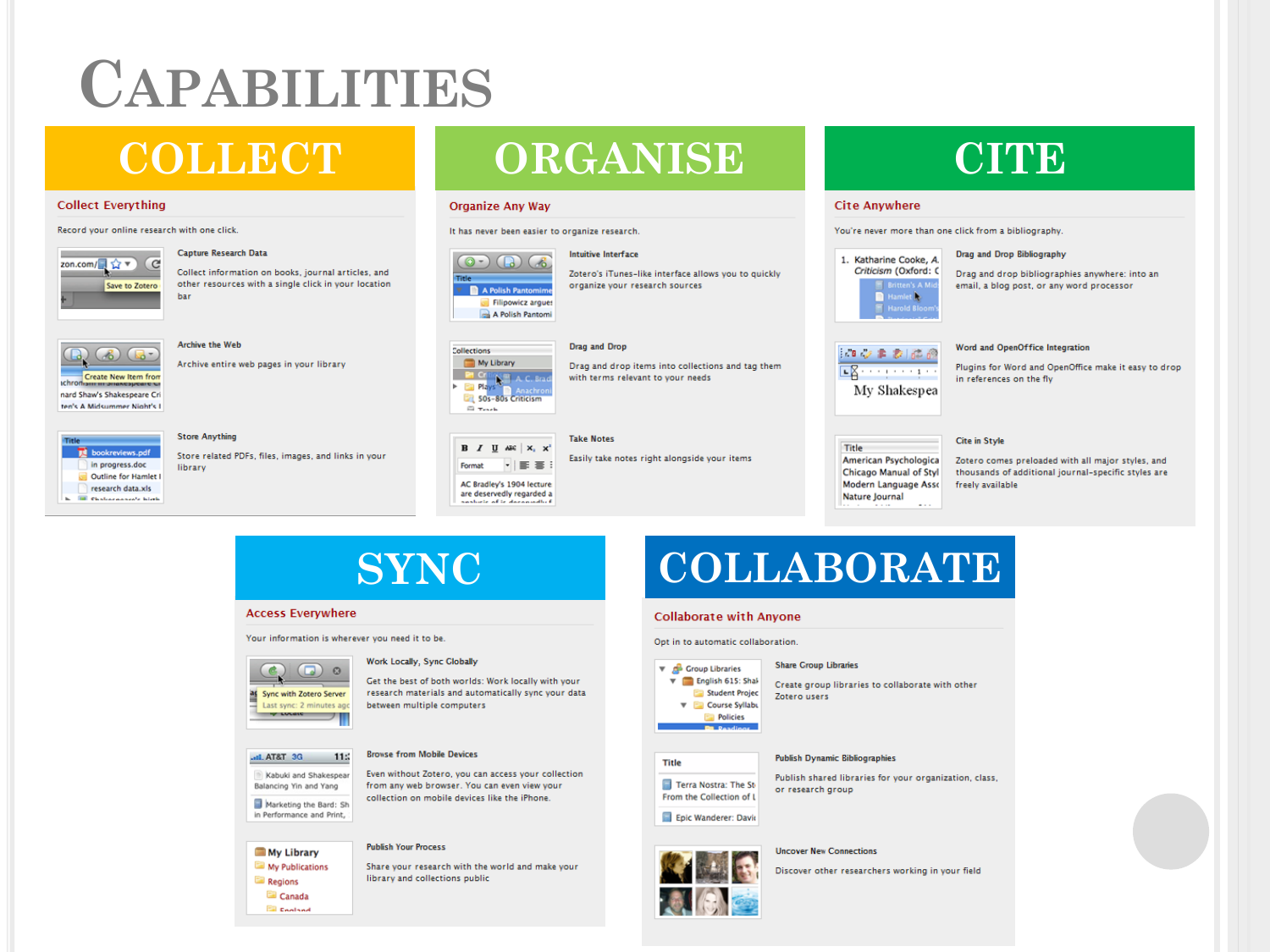# **CAPABILITIES**

# **COLLECT**

### **Collect Everything**

### Record your online research with one click.



### Canture Research Data

Collect information on books, journal articles, and other resources with a single click in your location har



## Archive the Web

Archive entire web pages in your library

### bookreviews.pdf in progress.doc Outline for Hamlet I research data.xls Chatenanon's high

### **Store Anything**

Store related PDFs, files, images, and links in your library

# **ORGANISE**

### **Organize Any Way**

It has never been easier to organize research.



A.C. Bra

 $B$  *I* U ABC  $x$ ,  $x'$ 

--

## Intuitive Interface

Zotero's iTunes-like interface allows you to quickly organize your research sources



**Take Notes** 

Drag and drop items into collections and tag them with terms relevant to your needs

Easily take notes right alongside your items

# **CITE**

## **Cite Anywhere**

You're never more than one click from a bibliography.



Drag and Drop Bibliography

Drag and drop bibliographies anywhere: into an email, a blog post, or any word processor

| $X + 1 + 1 + 1 + 1$ |  |  |
|---------------------|--|--|

## Word and OpenOffice Integration

Plugins for Word and OpenOffice make it easy to drop in references on the fly

### **Cite in Style**

Title American Psychologica Chicago Manual of Styl Modern Language Asso Nature Journal

Zotero comes preloaded with all major styles, and thousands of additional journal-specific styles are freely available

**SYNC** 

### **Access Everywhere**

Your information is wherever you need it to be.

### $\Box$   $\circ$ as Sync with Zotero Server Last sync: 2 minutes ago  $= 7$

#### Work Locally, Sync Globally

**Browse from Mobile Devices** 

Get the best of both worlds: Work locally with your research materials and automatically sync your data between multiple computers

## ani, AT&T 3G 115 Balancing Yin and Yang

Kabuki and Shakespear Even without Zotero, you can access your collection from any web browser. You can even yiew your collection on mobile devices like the iPhone.

Marketing the Bard: Sh in Performance and Print,

My Library

**Regions** Canada **England** 

My Publications

### **Publish Your Process**

Share your research with the world and make your library and collections public

# **COLLABORATE**

### **Collaborate with Anvone**

Opt in to automatic collaboration



#### **Publish Dynamic Bibliographies**

Terra Nostra: The St From the Collection of L

## Epic Wanderer: David



**Uncover New Connections** 

Discover other researchers working in your field



**Share Group Libraries** 

 $\triangledown$  English 615: Shall Create group libraries to collaborate with other Student Projec Zotero users



Title

Publish shared libraries for your organization, class,

or research group



## AC Bradley's 1904 lecture are deservedly regarded a

## 50s-80s Criticism **El Teseb**

**Collections** 

**Pr** Criti

Play:

My Library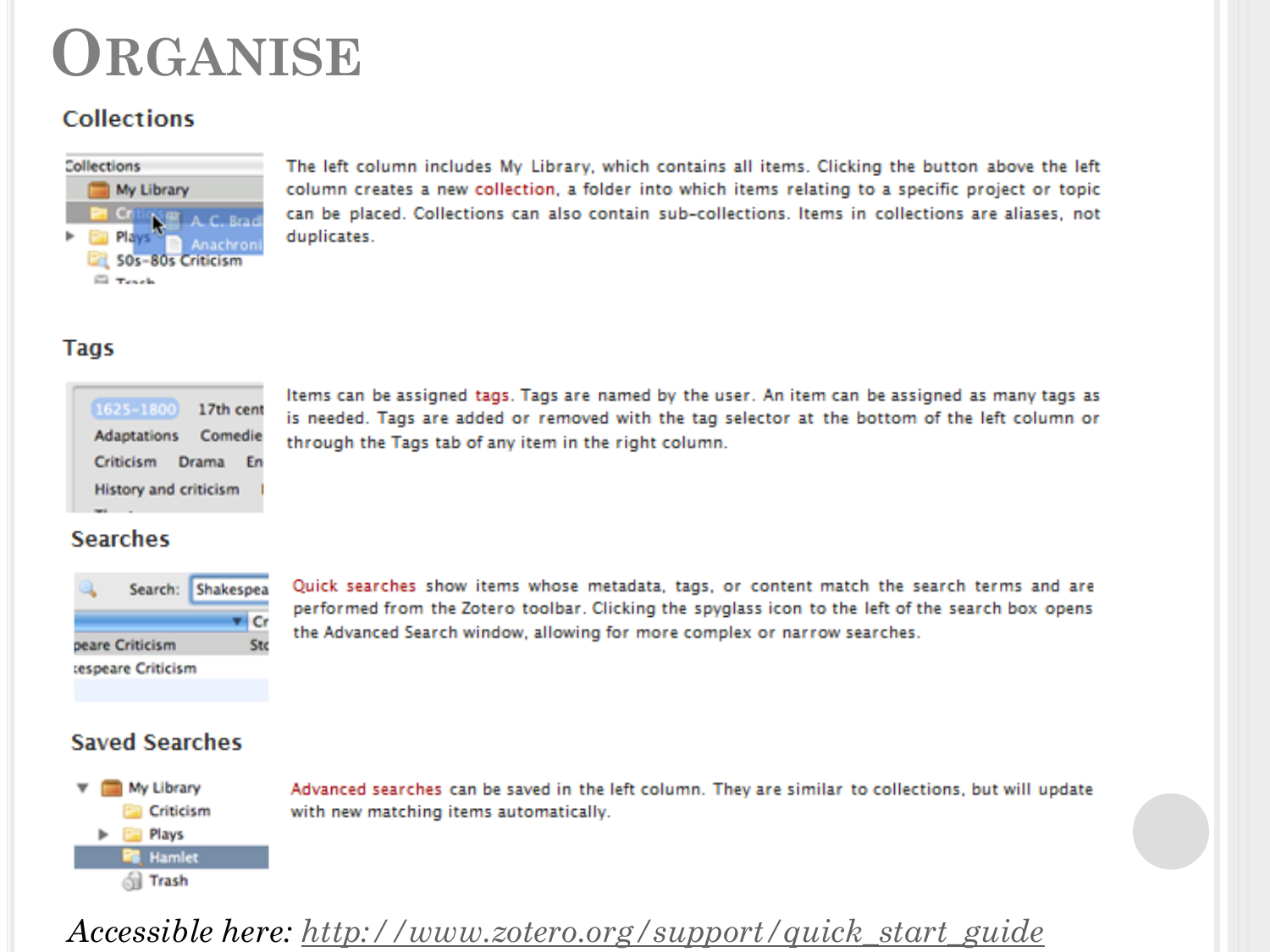# ORGANISE

# **Collections**



The left column includes My Library, which contains all items. Clicking the button above the left column creates a new collection, a folder into which items relating to a specific project or topic can be placed. Collections can also contain sub-collections, Items in collections are aliases, not duplicates.

## **Tags**

| 1625-1800             | 17th cent |  |
|-----------------------|-----------|--|
| Adaptations Comedie   |           |  |
| Criticism Drama En    |           |  |
| History and criticism |           |  |
|                       |           |  |

Items can be assigned tags. Tags are named by the user. An item can be assigned as many tags as is needed. Tags are added or removed with the tag selector at the bottom of the left column or through the Tags tab of any item in the right column.

## **Searches**



Quick searches show items whose metadata, tags, or content match the search terms and are performed from the Zotero toolbar. Clicking the spyglass icon to the left of the search box opens the Advanced Search window, allowing for more complex or narrow searches.

## **Saved Searches**



Advanced searches can be saved in the left column. They are similar to collections, but will update with new matching items automatically.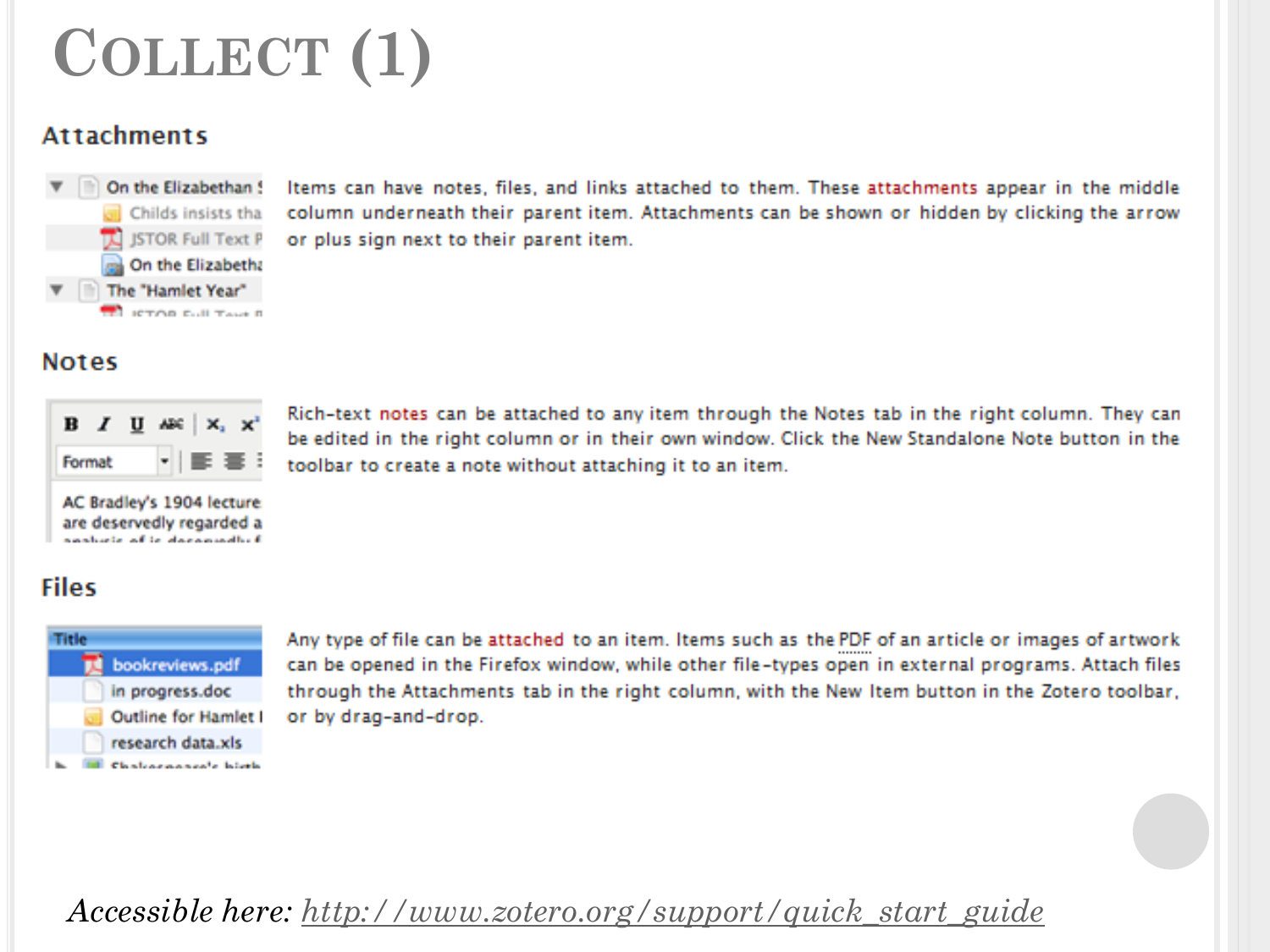# COLLECT (1)

# **Attachments**



Items can have notes, files, and links attached to them. These attachments appear in the middle column underneath their parent item. Attachments can be shown or hidden by clicking the arrow or plus sign next to their parent item.

## **Notes**

| т<br>--<br>---<br>- | -<br>≖ |  |
|---------------------|--------|--|

Rich-text notes can be attached to any item through the Notes tab in the right column. They can be edited in the right column or in their own window. Click the New Standalone Note button in the toolbar to create a note without attaching it to an item.

AC Bradley's 1904 lecture are deservedly regarded a specificate will be above assistant

# **Files**



Any type of file can be attached to an item. Items such as the PDF of an article or images of artwork can be opened in the Firefox window, while other file-types open in external programs. Attach files through the Attachments tab in the right column, with the New Item button in the Zotero toolbar, or by drag-and-drop.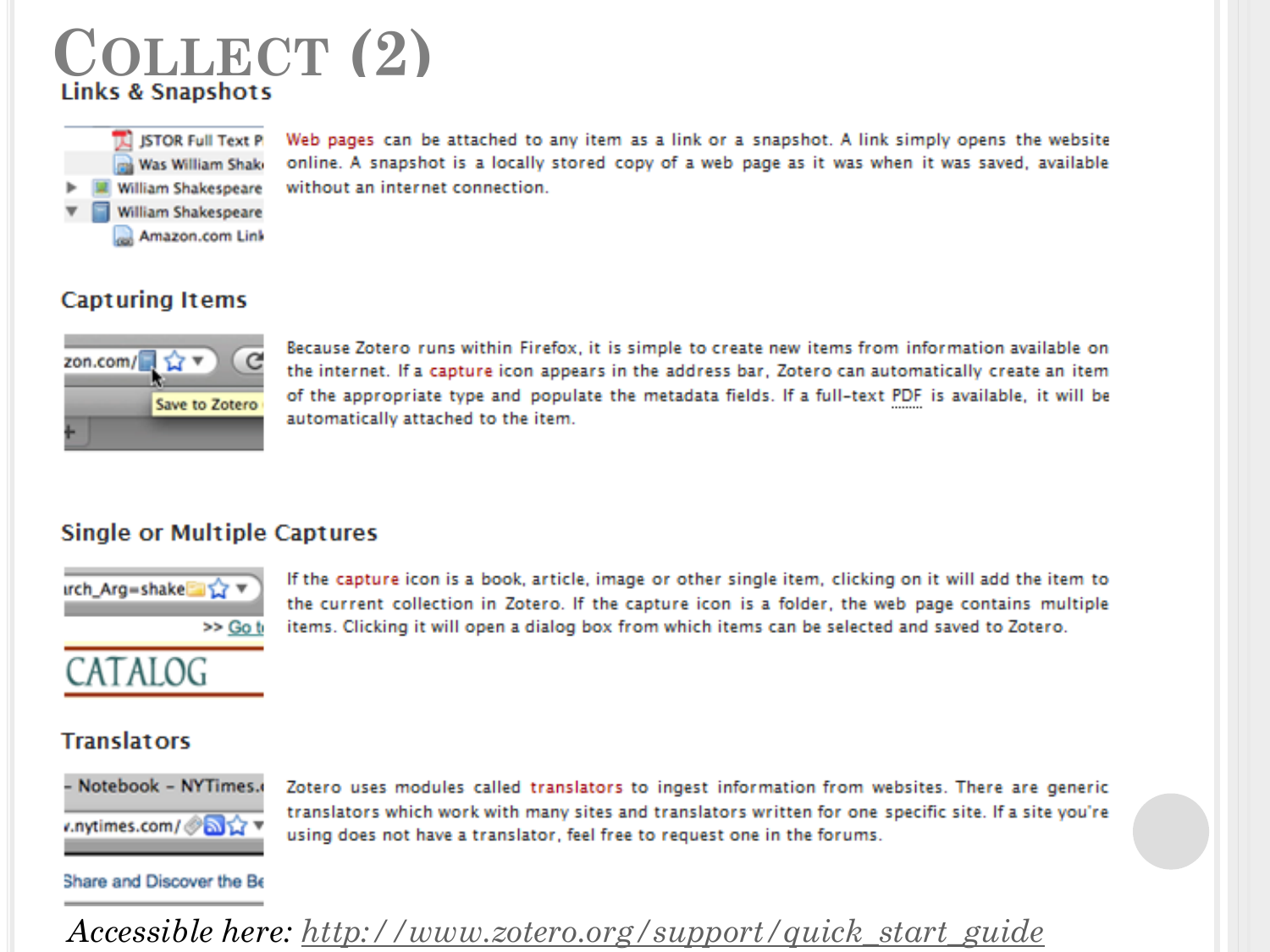



Web pages can be attached to any item as a link or a snapshot. A link simply opens the website online. A snapshot is a locally stored copy of a web page as it was when it was saved, available without an internet connection.

# **Capturing Items**



Because Zotero runs within Firefox, it is simple to create new items from information available on the internet. If a capture icon appears in the address bar, Zotero can automatically create an item of the appropriate type and populate the metadata fields. If a full-text PDF is available, it will be automatically attached to the item.

# **Single or Multiple Captures**



If the capture icon is a book, article, image or other single item, clicking on it will add the item to the current collection in Zotero. If the capture icon is a folder, the web page contains multiple items. Clicking it will open a dialog box from which items can be selected and saved to Zotero.

# ATALOG

## **Translators**



Zotero uses modules called translators to ingest information from websites. There are generic translators which work with many sites and translators written for one specific site. If a site you're using does not have a translator, feel free to request one in the forums.

## Share and Discover the Be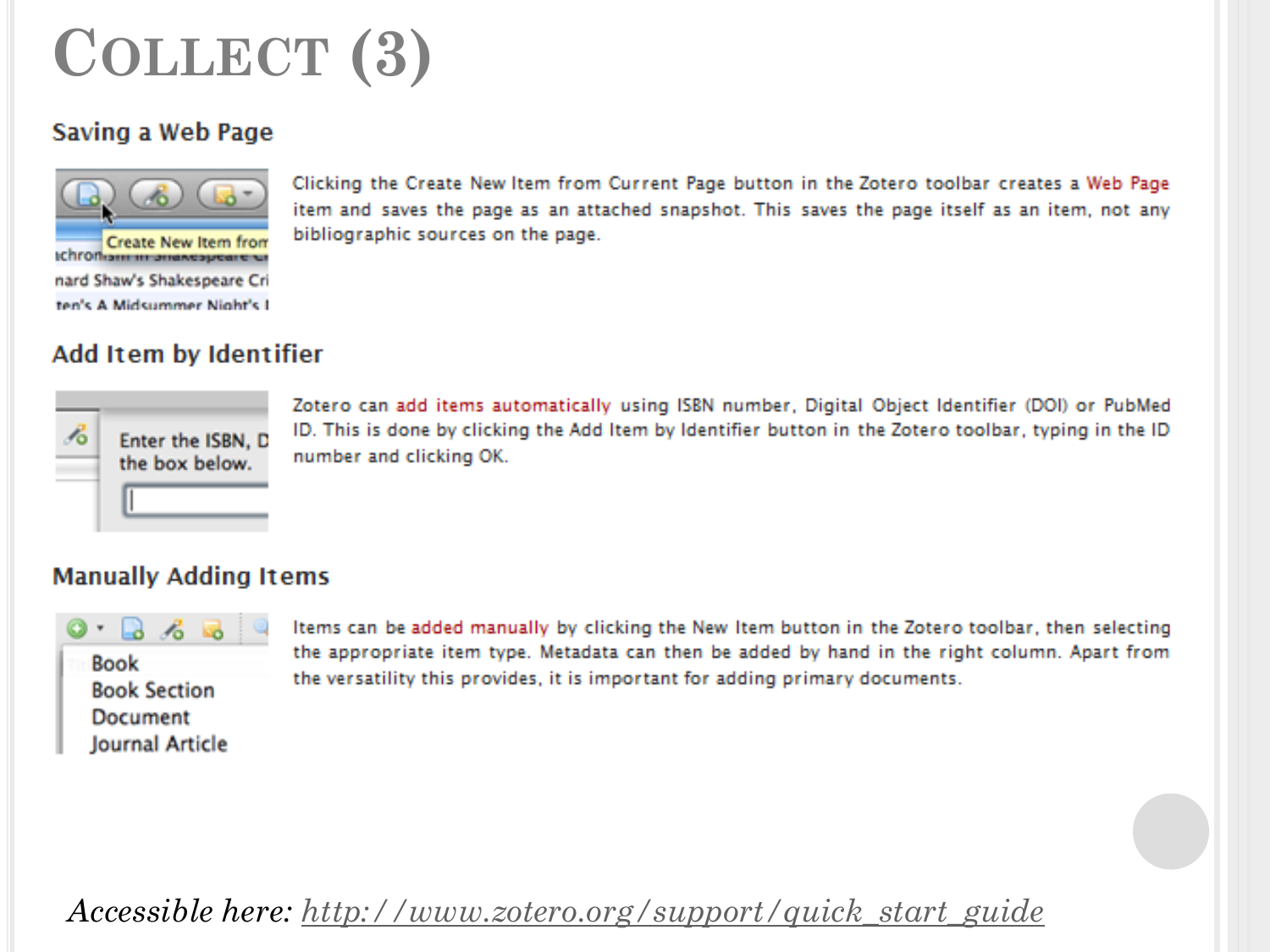# **COLLECT (3)**

# Saving a Web Page



Clicking the Create New Item from Current Page button in the Zotero toolbar creates a Web Page item and saves the page as an attached snapshot. This saves the page itself as an item, not any bibliographic sources on the page.

# Add Item by Identifier



Zotero can add items automatically using ISBN number, Digital Object Identifier (DOI) or PubMed ID. This is done by clicking the Add Item by Identifier button in the Zotero toolbar, typing in the ID number and clicking OK.

# **Manually Adding Items**



Items can be added manually by clicking the New Item button in the Zotero toolbar, then selecting the appropriate item type. Metadata can then be added by hand in the right column. Apart from the versatility this provides, it is important for adding primary documents.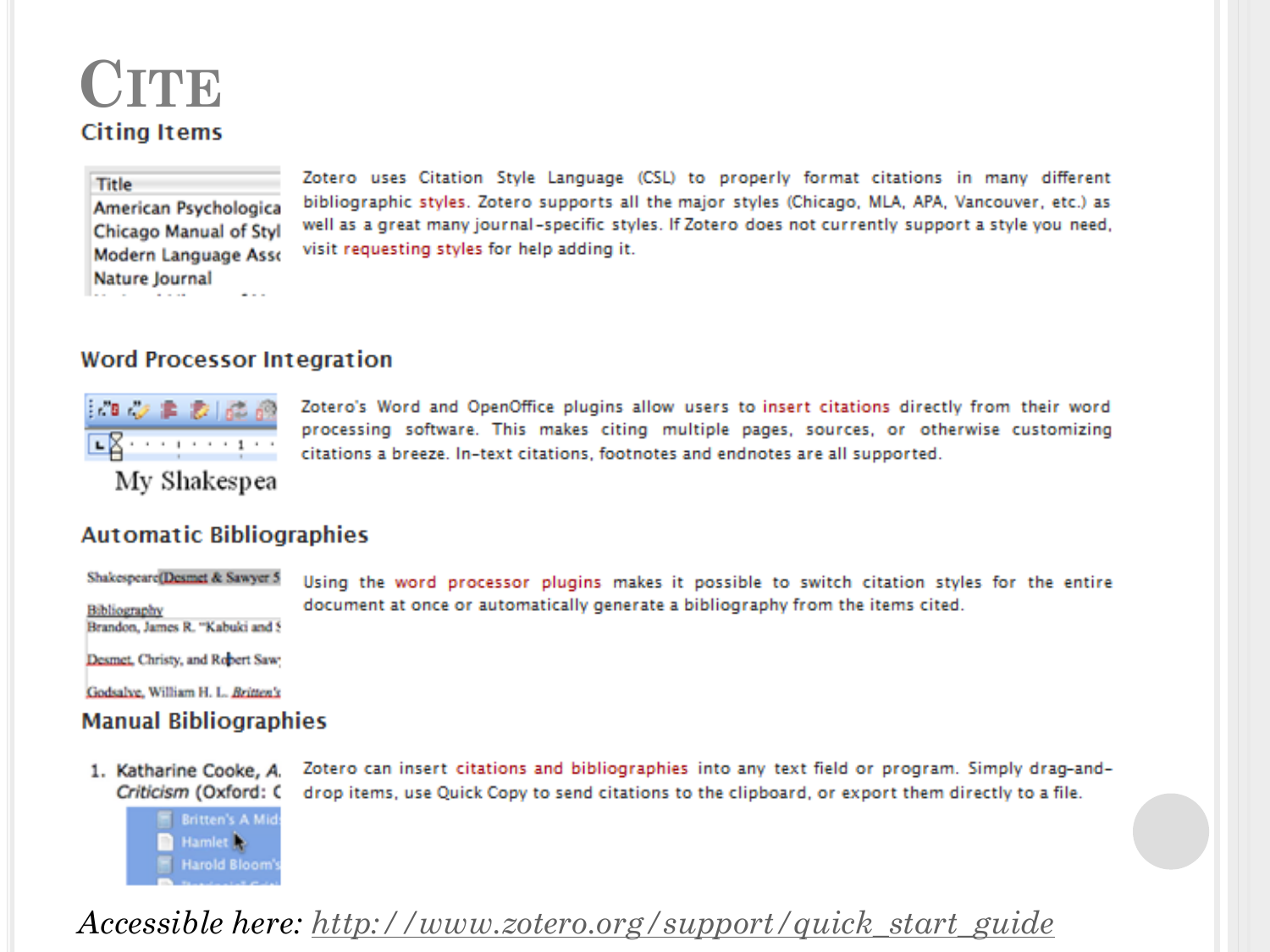# CITE **Citing Items**

## Title

American Psychologica Chicago Manual of Styl Modern Language Asso Nature Journal  $\sim$   $-$ 

Zotero uses Citation Style Language (CSL) to properly format citations in many different bibliographic styles. Zotero supports all the major styles (Chicago, MLA, APA, Vancouver, etc.) as well as a great many journal-specific styles. If Zotero does not currently support a style you need, visit requesting styles for help adding it.

## **Word Processor Integration**



Zotero's Word and OpenOffice plugins allow users to insert citations directly from their word processing software. This makes citing multiple pages, sources, or otherwise customizing citations a breeze. In-text citations, footnotes and endnotes are all supported.

My Shakespea

## **Automatic Bibliographies**

Shakespeare(Desmet & Sawyer 5

**Bibliography** Brandon, James R. "Kabuki and S Using the word processor plugins makes it possible to switch citation styles for the entire document at once or automatically generate a bibliography from the items cited.

Desmet, Christy, and Robert Saw:

Godsalve, William H. L. Britten's

## **Manual Bibliographies**

**Britten's A Mid** Hamlet<sub>1</sub> **Harold Bloom** 

1. Katharine Cooke, A. Criticism (Oxford: C Zotero can insert citations and bibliographies into any text field or program. Simply drag-anddrop items, use Quick Copy to send citations to the clipboard, or export them directly to a file.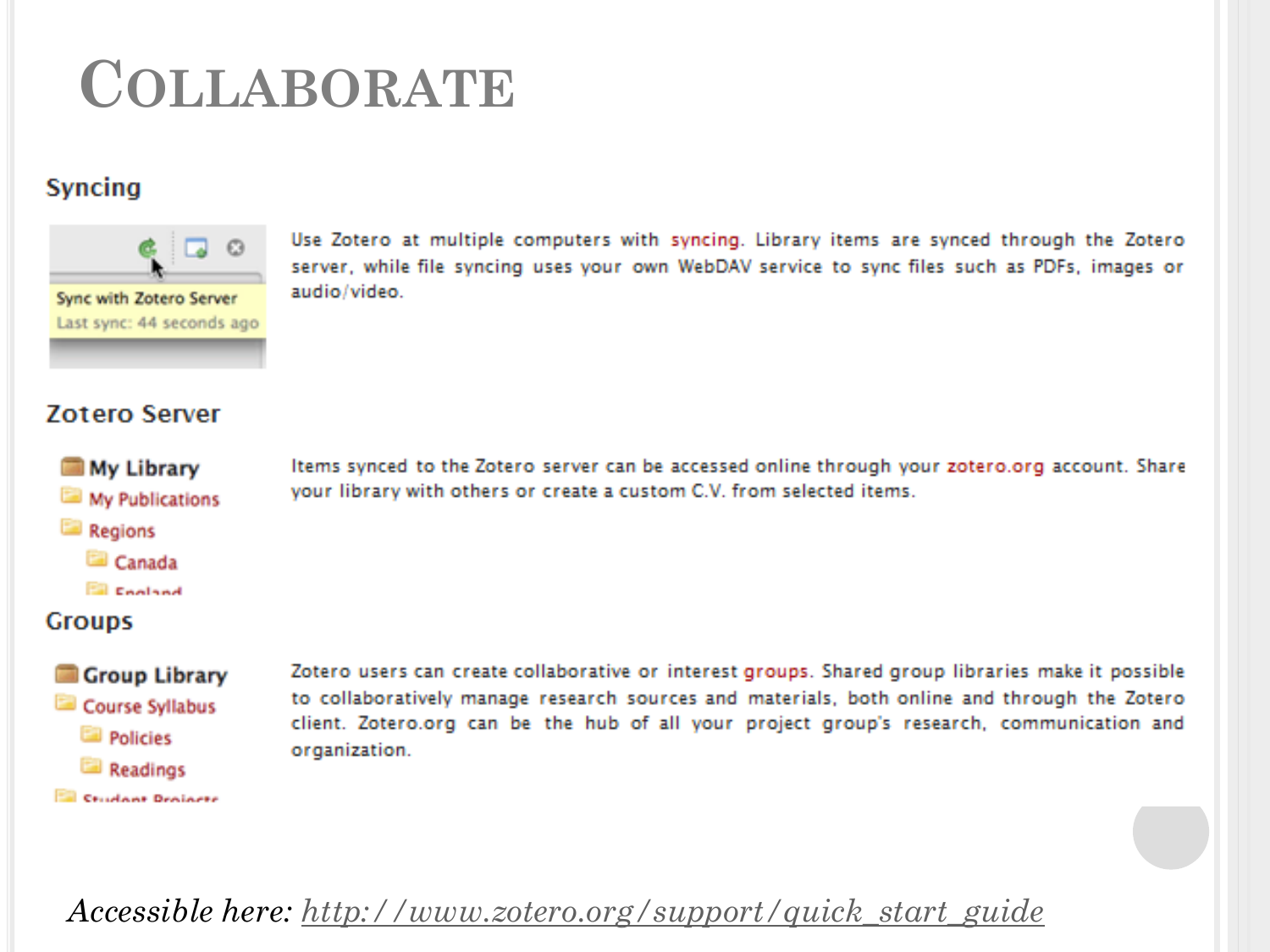# **COLLABORATE**

# **Syncing**



Use Zotero at multiple computers with syncing. Library items are synced through the Zotero server, while file syncing uses your own WebDAV service to sync files such as PDFs, images or audio/video.

# **Zotero Server**

- **My Library** My Publications
- **Regions** 
	- Canada
	- **Ell** Cooland

# **Groups**

## Group Library

- Course Syllabus
	- **Policies**
	- Readings
- **EN Crushont Deviator**

Items synced to the Zotero server can be accessed online through your zotero.org account. Share your library with others or create a custom C.V. from selected items.

Zotero users can create collaborative or interest groups. Shared group libraries make it possible to collaboratively manage research sources and materials, both online and through the Zotero client. Zotero.org can be the hub of all your project group's research, communication and organization.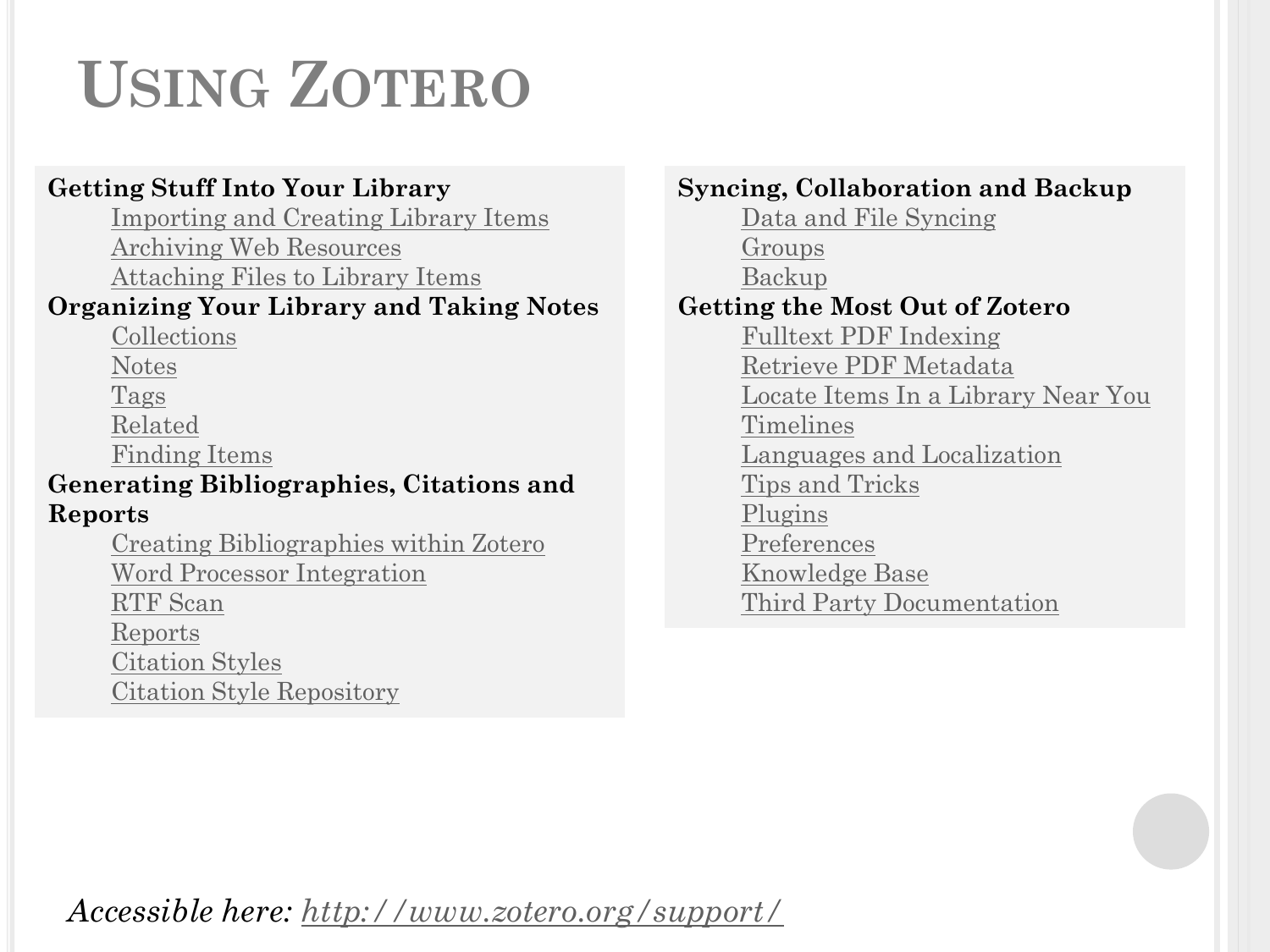# **USING ZOTERO**

# **Getting Stuff Into Your Library**

[Importing and Creating Library Items](http://www.zotero.org/support/getting_stuff_into_your_library) [Archiving Web Resources](http://www.zotero.org/support/archive_the_web) [Attaching Files to Library Items](http://www.zotero.org/support/attaching_files)

# **Organizing Your Library and Taking Notes**

[Collections](http://www.zotero.org/support/collections)

[Notes](http://www.zotero.org/support/notes)

[Tags](http://www.zotero.org/support/tags)

[Related](http://www.zotero.org/support/related)

[Finding Items](http://www.zotero.org/support/finding_and_sorting)

# **Generating Bibliographies, Citations and Reports**

[Creating Bibliographies within Zotero](http://www.zotero.org/support/creating_bibliographies) [Word Processor Integration](http://www.zotero.org/support/word_processor_integration) [RTF Scan](http://www.zotero.org/support/rtf_scan) [Reports](http://www.zotero.org/support/reports) [Citation Styles](http://www.zotero.org/support/styles) [Citation Style Repository](http://www.zotero.org/styles)

**Syncing, Collaboration and Backup**

[Data and File Syncing](http://www.zotero.org/support/sync) [Groups](http://www.zotero.org/support/groups) [Backup](http://www.zotero.org/support/zotero_data) **Getting the Most Out of Zotero** [Fulltext](http://www.zotero.org/support/finding_and_sorting) [PDF Indexing](http://www.zotero.org/support/finding_and_sorting) [Retrieve PDF Metadata](http://www.zotero.org/support/retrieve_pdf_metadata) [Locate Items In a Library Near You](http://www.zotero.org/support/locate) [Timelines](http://www.zotero.org/support/timelines) [Languages and Localization](http://www.zotero.org/support/supported_languages) [Tips and Tricks](http://www.zotero.org/support/tips_and_tricks) [Plugins](http://www.zotero.org/support/plugins) [Preferences](http://www.zotero.org/support/preferences) [Knowledge Base](http://www.zotero.org/support/kb)

[Third Party Documentation](http://www.zotero.org/support/third_party_documentation)

*Accessible here: <http://www.zotero.org/support/>*